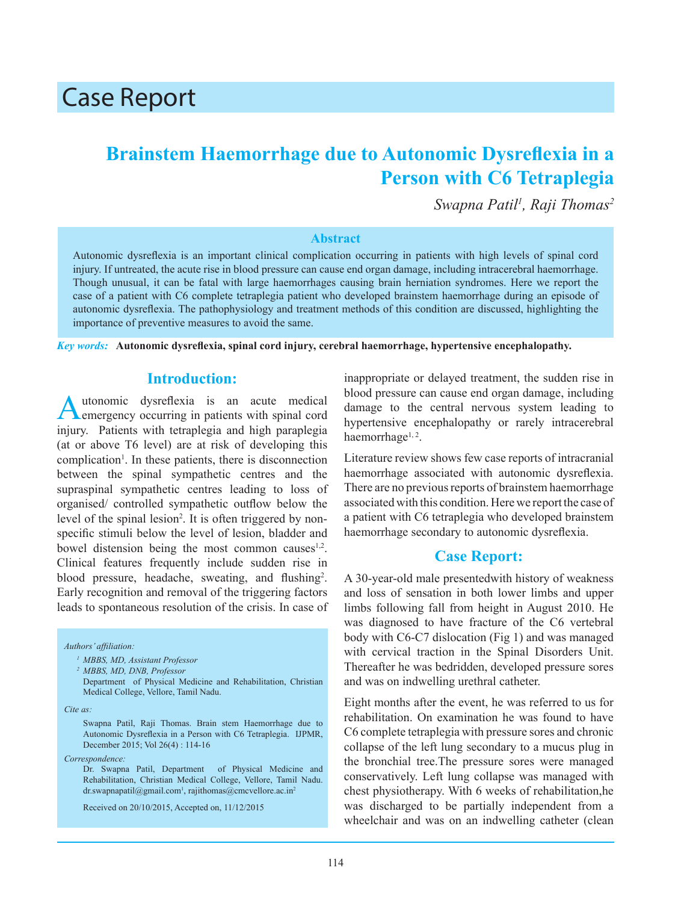# Case Report

# **Brainstem Haemorrhage due to Autonomic Dysreflexia in a Person with C6 Tetraplegia**

*Swapna Patil<sup>1</sup> , Raji Thomas2*

#### **Abstract**

Autonomic dysreflexia is an important clinical complication occurring in patients with high levels of spinal cord injury. If untreated, the acute rise in blood pressure can cause end organ damage, including intracerebral haemorrhage. Though unusual, it can be fatal with large haemorrhages causing brain herniation syndromes. Here we report the case of a patient with C6 complete tetraplegia patient who developed brainstem haemorrhage during an episode of autonomic dysreflexia. The pathophysiology and treatment methods of this condition are discussed, highlighting the importance of preventive measures to avoid the same.

*Key words:* **Autonomic dysreflexia, spinal cord injury, cerebral haemorrhage, hypertensive encephalopathy.**

# **Introduction:**

Autonomic dysreflexia is an acute medical emergency occurring in patients with spinal cord injury. Patients with tetraplegia and high paraplegia (at or above T6 level) are at risk of developing this complication<sup>1</sup>. In these patients, there is disconnection between the spinal sympathetic centres and the supraspinal sympathetic centres leading to loss of organised/ controlled sympathetic outflow below the level of the spinal lesion<sup>2</sup>. It is often triggered by nonspecific stimuli below the level of lesion, bladder and bowel distension being the most common causes $1,2$ . Clinical features frequently include sudden rise in blood pressure, headache, sweating, and flushing<sup>2</sup>. Early recognition and removal of the triggering factors leads to spontaneous resolution of the crisis. In case of

*Authors' affiliation:*

*2 MBBS, MD, DNB, Professor*

Department of Physical Medicine and Rehabilitation, Christian Medical College, Vellore, Tamil Nadu.

*Cite as:*

 Swapna Patil, Raji Thomas. Brain stem Haemorrhage due to Autonomic Dysreflexia in a Person with C6 Tetraplegia. IJPMR, December 2015; Vol 26(4) : 114-16

*Correspondence:*

Dr. Swapna Patil, Department of Physical Medicine and Rehabilitation, Christian Medical College, Vellore, Tamil Nadu. dr.swapnapatil@gmail.com<sup>1</sup>, rajithomas@cmcvellore.ac.in<sup>2</sup>

Received on 20/10/2015, Accepted on, 11/12/2015

inappropriate or delayed treatment, the sudden rise in blood pressure can cause end organ damage, including damage to the central nervous system leading to hypertensive encephalopathy or rarely intracerebral haemorrhage<sup>1, 2</sup>.

Literature review shows few case reports of intracranial haemorrhage associated with autonomic dysreflexia. There are no previous reports of brainstem haemorrhage associated with this condition. Here we report the case of a patient with C6 tetraplegia who developed brainstem haemorrhage secondary to autonomic dysreflexia.

#### **Case Report:**

A 30-year-old male presentedwith history of weakness and loss of sensation in both lower limbs and upper limbs following fall from height in August 2010. He was diagnosed to have fracture of the C6 vertebral body with C6-C7 dislocation (Fig 1) and was managed with cervical traction in the Spinal Disorders Unit. Thereafter he was bedridden, developed pressure sores and was on indwelling urethral catheter.

Eight months after the event, he was referred to us for rehabilitation. On examination he was found to have C6 complete tetraplegia with pressure sores and chronic collapse of the left lung secondary to a mucus plug in the bronchial tree.The pressure sores were managed conservatively. Left lung collapse was managed with chest physiotherapy. With 6 weeks of rehabilitation,he was discharged to be partially independent from a wheelchair and was on an indwelling catheter (clean

*<sup>1</sup> MBBS, MD, Assistant Professor*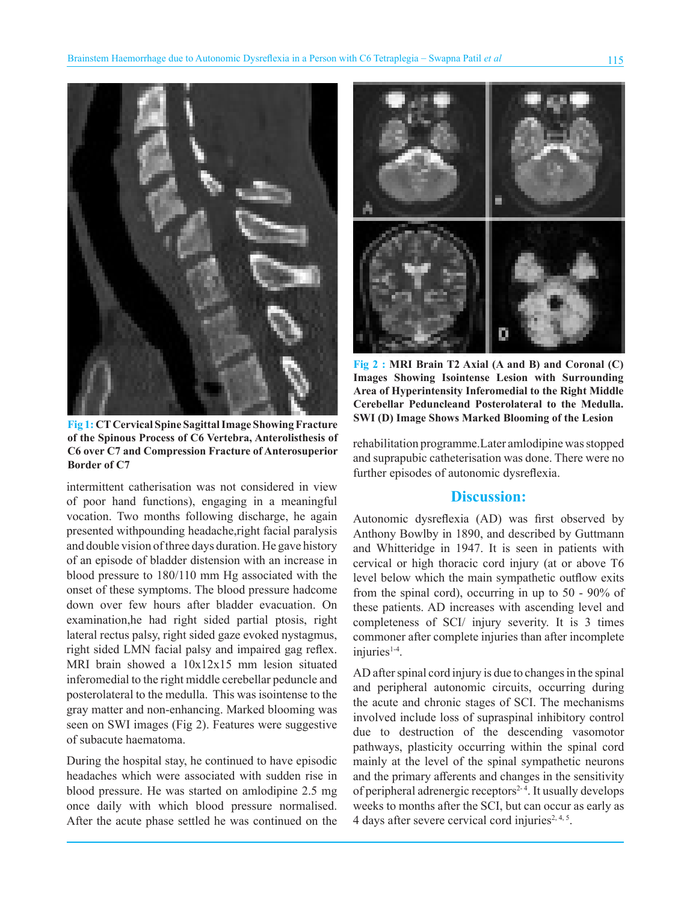

**Fig 1: CT Cervical Spine Sagittal Image Showing Fracture of the Spinous Process of C6 Vertebra, Anterolisthesis of C6 over C7 and Compression Fracture of Anterosuperior Border of C7**

intermittent catherisation was not considered in view of poor hand functions), engaging in a meaningful vocation. Two months following discharge, he again presented withpounding headache,right facial paralysis and double vision of three days duration. He gave history of an episode of bladder distension with an increase in blood pressure to 180/110 mm Hg associated with the onset of these symptoms. The blood pressure hadcome down over few hours after bladder evacuation. On examination,he had right sided partial ptosis, right lateral rectus palsy, right sided gaze evoked nystagmus, right sided LMN facial palsy and impaired gag reflex. MRI brain showed a 10x12x15 mm lesion situated inferomedial to the right middle cerebellar peduncle and posterolateral to the medulla. This was isointense to the gray matter and non-enhancing. Marked blooming was seen on SWI images (Fig 2). Features were suggestive of subacute haematoma.

During the hospital stay, he continued to have episodic headaches which were associated with sudden rise in blood pressure. He was started on amlodipine 2.5 mg once daily with which blood pressure normalised. After the acute phase settled he was continued on the



**Fig 2 : MRI Brain T2 Axial (A and B) and Coronal (C) Images Showing Isointense Lesion with Surrounding Area of Hyperintensity Inferomedial to the Right Middle Cerebellar Peduncleand Posterolateral to the Medulla. SWI (D) Image Shows Marked Blooming of the Lesion**

rehabilitation programme.Later amlodipine was stopped and suprapubic catheterisation was done. There were no further episodes of autonomic dysreflexia.

## **Discussion:**

Autonomic dysreflexia (AD) was first observed by Anthony Bowlby in 1890, and described by Guttmann and Whitteridge in 1947. It is seen in patients with cervical or high thoracic cord injury (at or above T6 level below which the main sympathetic outflow exits from the spinal cord), occurring in up to 50 - 90% of these patients. AD increases with ascending level and completeness of SCI/ injury severity. It is 3 times commoner after complete injuries than after incomplete injuries $1-4$ .

AD after spinal cord injury is due to changes in the spinal and peripheral autonomic circuits, occurring during the acute and chronic stages of SCI. The mechanisms involved include loss of supraspinal inhibitory control due to destruction of the descending vasomotor pathways, plasticity occurring within the spinal cord mainly at the level of the spinal sympathetic neurons and the primary afferents and changes in the sensitivity of peripheral adrenergic receptors<sup>2-4</sup>. It usually develops weeks to months after the SCI, but can occur as early as 4 days after severe cervical cord injuries<sup>2, 4, 5</sup>.